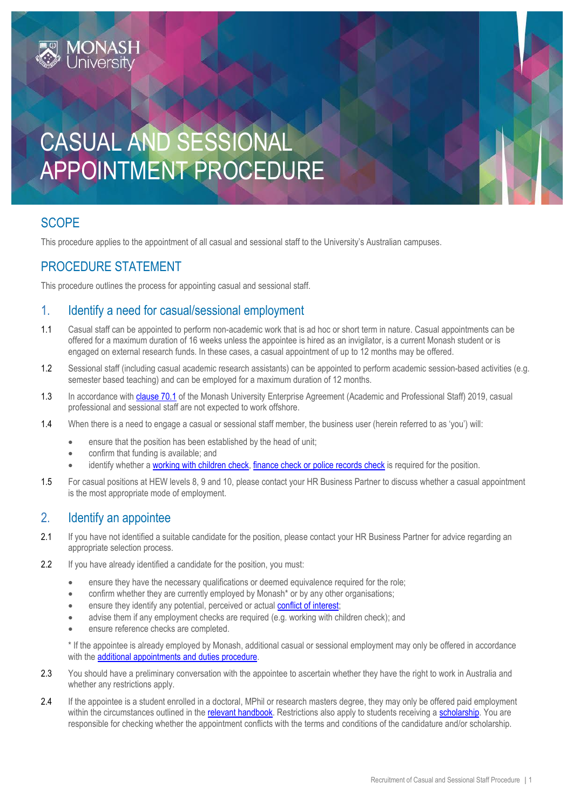# CASUAL AND SESSIONAL APPOINTMENT PROCEDURE

# **SCOPE**

This procedure applies to the appointment of all casual and sessional staff to the University's Australian campuses.

### PROCEDURE STATEMENT

This procedure outlines the process for appointing casual and sessional staff.

#### 1. Identify a need for casual/sessional employment

- 1.1 Casual staff can be appointed to perform non-academic work that is ad hoc or short term in nature. Casual appointments can be offered for a maximum duration of 16 weeks unless the appointee is hired as an invigilator, is a current Monash student or is engaged on external research funds. In these cases, a casual appointment of up to 12 months may be offered.
- 1.2 Sessional staff (including casual academic research assistants) can be appointed to perform academic session-based activities (e.g. semester based teaching) and can be employed for a maximum duration of 12 months.
- 1.3 In accordance wit[h clause 70.1](https://www.monash.edu/current-enterprise-agreements/academic-professional-2019#70) of the Monash University Enterprise Agreement (Academic and Professional Staff) 2019, casual professional and sessional staff are not expected to work offshore.
- 1.4 When there is a need to engage a casual or sessional staff member, the business user (herein referred to as 'you') will:
	- ensure that the position has been established by the head of unit;
	- confirm that funding is available; and
	- identify whether a [working with children](https://publicpolicydms.monash.edu/Monash/documents/1935742) check, finance check or [police records check](https://publicpolicydms.monash.edu/Monash/documents/1935679) is required for the position.
- 1.5 For casual positions at HEW levels 8, 9 and 10, please contact your HR Business Partner to discuss whether a casual appointment is the most appropriate mode of employment.

#### 2. Identify an appointee

- 2.1 If you have not identified a suitable candidate for the position, please contact your HR Business Partner for advice regarding an appropriate selection process.
- 2.2 If you have already identified a candidate for the position, you must:
	- ensure they have the necessary qualifications or deemed equivalence required for the role;
	- confirm whether they are currently employed by Monash\* or by any other organisations;
	- ensure they identify any potential, perceived or actual [conflict of interest;](https://publicpolicydms.monash.edu/Monash/documents/1935671)
	- advise them if any employment checks are required (e.g. working with children check); and
	- ensure reference checks are completed.

\* If the appointee is already employed by Monash, additional casual or sessional employment may only be offered in accordance with the [additional appointments and duties procedure.](https://publicpolicydms.monash.edu/Monash/documents/1935658)

- 2.3 You should have a preliminary conversation with the appointee to ascertain whether they have the right to work in Australia and whether any restrictions apply.
- 2.4 If the appointee is a student enrolled in a doctoral, MPhil or research masters degree, they may only be offered paid employment within the circumstances outlined in the relevant [handbook.](http://www.mrgs.monash.edu.au/research/doctoral/chapter3d.html) Restrictions also apply to students receiving [a scholarship.](https://www.monash.edu/graduate-research/future-students/scholarships/scholarship-policy-and-procedures) You are responsible for checking whether the appointment conflicts with the terms and conditions of the candidature and/or scholarship.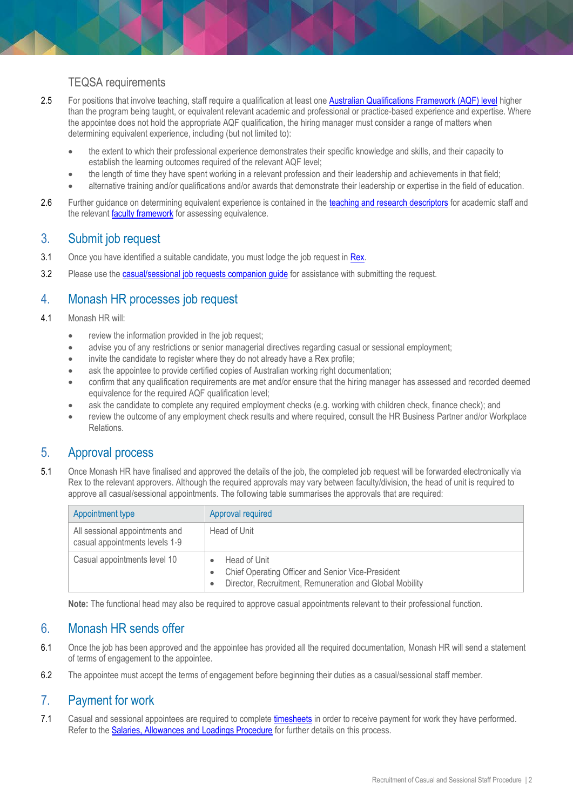#### TEQSA requirements

- 2.5 For positions that involve teaching, staff require a qualification at least one [Australian Qualifications Framework \(AQF\) level](https://www.teqsa.gov.au/australian-qualifications-framework) higher than the program being taught, or equivalent relevant academic and professional or practice-based experience and expertise. Where the appointee does not hold the appropriate AQF qualification, the hiring manager must consider a range of matters when determining equivalent experience, including (but not limited to):
	- the extent to which their professional experience demonstrates their specific knowledge and skills, and their capacity to establish the learning outcomes required of the relevant AQF level;
	- the length of time they have spent working in a relevant profession and their leadership and achievements in that field;
	- alternative training and/or qualifications and/or awards that demonstrate their leadership or expertise in the field of education.
- 2.6 Further quidance on determining equivalent experience is contained in the [teaching and research descriptors](http://www.intranet.monash/hr/tools-and-resources/manager-resources/recruitment-and-appointments/categories/academic/teaching-research) for academic staff and the relevant **[faculty framework](http://www.intranet.monash/hr/tools-and-resources/manager-resources/recruitment-and-appointments/higher-education-standards-in-teaching)** for assessing equivalence.

#### 3. Submit job request

- 3.1 Once you have identified a suitable candidate, you must lodge the job request in [Rex.](https://monash.dc2.pageuppeople.com/dashboard)
- 3.2 Please use the **casual/sessional job requests companion guide** for assistance with submitting the request.

### 4. Monash HR processes job request

- 4.1 Monash HR will:
	- review the information provided in the job request;
	- advise you of any restrictions or senior managerial directives regarding casual or sessional employment;
	- invite the candidate to register where they do not already have a Rex profile;
	- ask the appointee to provide certified copies of Australian working right documentation:
	- confirm that any qualification requirements are met and/or ensure that the hiring manager has assessed and recorded deemed equivalence for the required AQF qualification level;
	- ask the candidate to complete any required employment checks (e.g. working with children check, finance check); and
	- review the outcome of any employment check results and where required, consult the HR Business Partner and/or Workplace Relations.

#### 5. Approval process

5.1 Once Monash HR have finalised and approved the details of the job, the completed job request will be forwarded electronically via Rex to the relevant approvers. Although the required approvals may vary between faculty/division, the head of unit is required to approve all casual/sessional appointments. The following table summarises the approvals that are required:

| Appointment type                                                 | Approval required                                                                                                            |
|------------------------------------------------------------------|------------------------------------------------------------------------------------------------------------------------------|
| All sessional appointments and<br>casual appointments levels 1-9 | Head of Unit                                                                                                                 |
| Casual appointments level 10                                     | Head of Unit<br>Chief Operating Officer and Senior Vice-President<br>Director, Recruitment, Remuneration and Global Mobility |

**Note:** The functional head may also be required to approve casual appointments relevant to their professional function.

#### 6. Monash HR sends offer

- 6.1 Once the job has been approved and the appointee has provided all the required documentation, Monash HR will send a statement of terms of engagement to the appointee.
- 6.2 The appointee must accept the terms of engagement before beginning their duties as a casual/sessional staff member.

#### 7. Payment for work

7.1 Casual and sessional appointees are required to complet[e timesheets](https://www.monash.edu/eforms-resources/frevvo-forms/hr/timesheets) in order to receive payment for work they have performed. Refer to the [Salaries, Allowances and Loadings Procedure](https://publicpolicydms.monash.edu/Monash/documents/1935730) for further details on this process.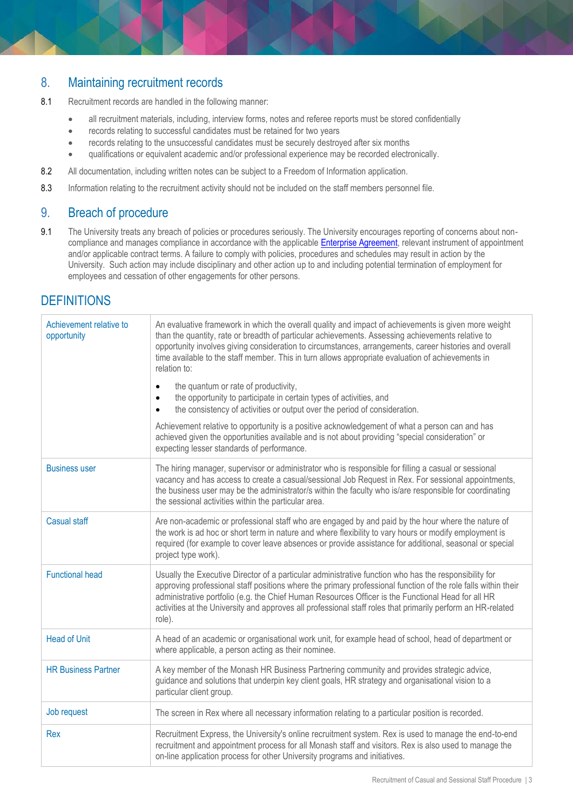#### 8. Maintaining recruitment records

- 8.1 Recruitment records are handled in the following manner:
	- all recruitment materials, including, interview forms, notes and referee reports must be stored confidentially
	- records relating to successful candidates must be retained for two years
	- records relating to the unsuccessful candidates must be securely destroyed after six months
	- qualifications or equivalent academic and/or professional experience may be recorded electronically.
- 8.2 All documentation, including written notes can be subject to a Freedom of Information application.
- 8.3 Information relating to the recruitment activity should not be included on the staff members personnel file.

#### 9. Breach of procedure

9.1 The University treats any breach of policies or procedures seriously. The University encourages reporting of concerns about noncompliance and manages compliance in accordance with the applicabl[e Enterprise Agreement,](https://www.monash.edu/current-enterprise-agreements) relevant instrument of appointment and/or applicable contract terms. A failure to comply with policies, procedures and schedules may result in action by the University. Such action may include disciplinary and other action up to and including potential termination of employment for employees and cessation of other engagements for other persons.

## **DEFINITIONS**

| Achievement relative to<br>opportunity | An evaluative framework in which the overall quality and impact of achievements is given more weight<br>than the quantity, rate or breadth of particular achievements. Assessing achievements relative to<br>opportunity involves giving consideration to circumstances, arrangements, career histories and overall<br>time available to the staff member. This in turn allows appropriate evaluation of achievements in<br>relation to:<br>the quantum or rate of productivity,<br>$\bullet$<br>the opportunity to participate in certain types of activities, and<br>$\bullet$<br>the consistency of activities or output over the period of consideration.<br>$\bullet$ |
|----------------------------------------|----------------------------------------------------------------------------------------------------------------------------------------------------------------------------------------------------------------------------------------------------------------------------------------------------------------------------------------------------------------------------------------------------------------------------------------------------------------------------------------------------------------------------------------------------------------------------------------------------------------------------------------------------------------------------|
|                                        | Achievement relative to opportunity is a positive acknowledgement of what a person can and has<br>achieved given the opportunities available and is not about providing "special consideration" or<br>expecting lesser standards of performance.                                                                                                                                                                                                                                                                                                                                                                                                                           |
| <b>Business user</b>                   | The hiring manager, supervisor or administrator who is responsible for filling a casual or sessional<br>vacancy and has access to create a casual/sessional Job Request in Rex. For sessional appointments,<br>the business user may be the administrator/s within the faculty who is/are responsible for coordinating<br>the sessional activities within the particular area.                                                                                                                                                                                                                                                                                             |
| <b>Casual staff</b>                    | Are non-academic or professional staff who are engaged by and paid by the hour where the nature of<br>the work is ad hoc or short term in nature and where flexibility to vary hours or modify employment is<br>required (for example to cover leave absences or provide assistance for additional, seasonal or special<br>project type work).                                                                                                                                                                                                                                                                                                                             |
| <b>Functional head</b>                 | Usually the Executive Director of a particular administrative function who has the responsibility for<br>approving professional staff positions where the primary professional function of the role falls within their<br>administrative portfolio (e.g. the Chief Human Resources Officer is the Functional Head for all HR<br>activities at the University and approves all professional staff roles that primarily perform an HR-related<br>role).                                                                                                                                                                                                                      |
| <b>Head of Unit</b>                    | A head of an academic or organisational work unit, for example head of school, head of department or<br>where applicable, a person acting as their nominee.                                                                                                                                                                                                                                                                                                                                                                                                                                                                                                                |
| <b>HR Business Partner</b>             | A key member of the Monash HR Business Partnering community and provides strategic advice,<br>guidance and solutions that underpin key client goals, HR strategy and organisational vision to a<br>particular client group.                                                                                                                                                                                                                                                                                                                                                                                                                                                |
| Job request                            | The screen in Rex where all necessary information relating to a particular position is recorded.                                                                                                                                                                                                                                                                                                                                                                                                                                                                                                                                                                           |
| Rex                                    | Recruitment Express, the University's online recruitment system. Rex is used to manage the end-to-end<br>recruitment and appointment process for all Monash staff and visitors. Rex is also used to manage the<br>on-line application process for other University programs and initiatives.                                                                                                                                                                                                                                                                                                                                                                               |